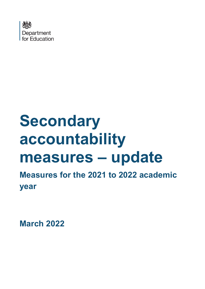

# **Secondary accountability measures – update**

**Measures for the 2021 to 2022 academic year**

**March 2022**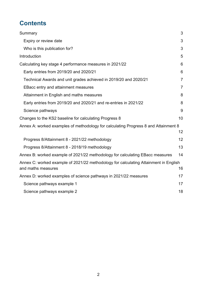# **Contents**

| Summary                                                                                                    | 3              |
|------------------------------------------------------------------------------------------------------------|----------------|
| Expiry or review date                                                                                      | 3              |
| Who is this publication for?                                                                               | 3              |
| Introduction                                                                                               | 5              |
| Calculating key stage 4 performance measures in 2021/22                                                    | 6              |
| Early entries from 2019/20 and 2020/21                                                                     | 6              |
| Technical Awards and unit grades achieved in 2019/20 and 2020/21                                           | $\overline{7}$ |
| EBacc entry and attainment measures                                                                        | $\overline{7}$ |
| Attainment in English and maths measures                                                                   | 8              |
| Early entries from 2019/20 and 2020/21 and re-entries in 2021/22                                           | 8              |
| Science pathways                                                                                           | 9              |
| Changes to the KS2 baseline for calculating Progress 8                                                     | 10             |
| Annex A: worked examples of methodology for calculating Progress 8 and Attainment 8                        |                |
|                                                                                                            | 12             |
| Progress 8/Attainment 8 - 2021/22 methodology                                                              | 12             |
| Progress 8/Attainment 8 - 2018/19 methodology                                                              | 13             |
| Annex B: worked example of 2021/22 methodology for calculating EBacc measures                              | 14             |
| Annex C: worked example of 2021/22 methodology for calculating Attainment in English<br>and maths measures | 16             |
| Annex D: worked examples of science pathways in 2021/22 measures                                           | 17             |
| Science pathways example 1                                                                                 | 17             |
| Science pathways example 2                                                                                 | 18             |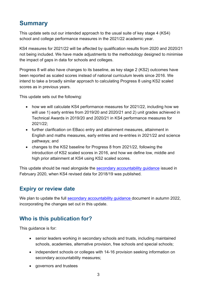# <span id="page-2-0"></span>**Summary**

This update sets out our intended approach to the usual suite of key stage 4 (KS4) school and college performance measures in the 2021/22 academic year.

KS4 measures for 2021/22 will be affected by qualification results from 2020 and 2020/21 not being included. We have made adjustments to the methodology designed to minimise the impact of gaps in data for schools and colleges.

Progress 8 will also have changes to its baseline, as key stage 2 (KS2) outcomes have been reported as scaled scores instead of national curriculum levels since 2016. We intend to take a broadly similar approach to calculating Progress 8 using KS2 scaled scores as in previous years.

This update sets out the following:

- how we will calculate KS4 performance measures for 2021/22, including how we will use 1) early entries from 2019/20 and 2020/21 and 2) unit grades achieved in Technical Awards in 2019/20 and 2020/21 in KS4 performance measures for 2021/22;
- further clarification on EBacc entry and attainment measures, attainment in English and maths measures, early entries and re-entries in 2021/22 and science pathways; and
- changes to the KS2 baseline for Progress 8 from 2021/22, following the introduction of KS2 scaled scores in 2016, and how we define low, middle and high prior attainment at KS4 using KS2 scaled scores.

This update should be read alongside the secondary accountability quidance issued in February 2020, when KS4 revised data for 2018/19 was published.

## <span id="page-2-1"></span>**Expiry or review date**

We plan to update the full secondary accountability quidance document in autumn 2022, incorporating the changes set out in this update.

## <span id="page-2-2"></span>**Who is this publication for?**

This guidance is for:

- senior leaders working in secondary schools and trusts, including maintained schools, academies, alternative provision, free schools and special schools;
- independent schools or colleges with 14-16 provision seeking information on secondary accountability measures;
- governors and trustees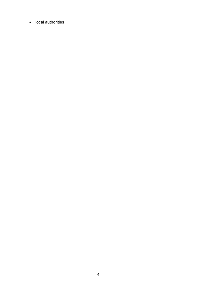• local authorities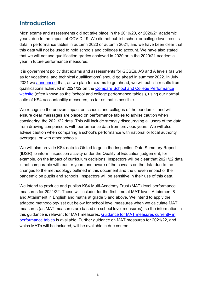# <span id="page-4-0"></span>**Introduction**

Most exams and assessments did not take place in the 2019/20, or 2020/21 academic years, due to the impact of COVID-19. We did not publish school or college level results data in performance tables in autumn 2020 or autumn 2021, and we have been clear that this data will not be used to hold schools and colleges to account. We have also stated that we will not use qualification grades achieved in 2020 or in the 2020/21 academic year in future performance measures.

It is government policy that exams and assessments for GCSEs, AS and A levels (as well as for vocational and technical qualifications) should go ahead in summer 2022. In July 2021 we [announced](https://www.gov.uk/government/publications/coronavirus-covid-19-school-and-college-performance-measures) that, as we plan for exams to go ahead, we will publish results from qualifications achieved in 2021/22 on the [Compare School and College Performance](https://www.compare-school-performance.service.gov.uk/schools-by-type?step=default&table=schools®ion=all-england&for=secondary)  [website](https://www.compare-school-performance.service.gov.uk/schools-by-type?step=default&table=schools®ion=all-england&for=secondary) (often known as the 'school and college performance tables'), using our normal suite of KS4 accountability measures, as far as that is possible.

We recognise the uneven impact on schools and colleges of the pandemic, and will ensure clear messages are placed on performance tables to advise caution when considering the 2021/22 data. This will include strongly discouraging all users of the data from drawing comparisons with performance data from previous years. We will also advise caution when comparing a school's performance with national or local authority averages, or with other schools.

We will also provide KS4 data to Ofsted to go in the Inspection Data Summary Report (IDSR) to inform inspection activity under the Quality of Education judgement, for example, on the impact of curriculum decisions. Inspectors will be clear that 2021/22 data is not comparable with earlier years and aware of the caveats on the data due to the changes to the methodology outlined in this document and the uneven impact of the pandemic on pupils and schools. Inspectors will be sensitive in their use of this data.

We intend to produce and publish KS4 Multi-Academy Trust (MAT) level performance measures for 2021/22. These will include, for the first time at MAT level, Attainment 8 and Attainment in English and maths at grade 5 and above. We intend to apply the adapted methodology set out below for school level measures when we calculate MAT measures (as MAT measures are based on school level measures), so the information in this guidance is relevant for MAT measures. [Guidance for MAT measures currently in](https://www.gov.uk/government/statistics/multi-academy-trust-performance-measures-at-ks4-2018-to-2019)  [performance tables](https://www.gov.uk/government/statistics/multi-academy-trust-performance-measures-at-ks4-2018-to-2019) is available. Further guidance on MAT measures for 2021/22, and which MATs will be included, will be available in due course.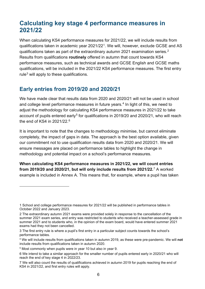# <span id="page-5-0"></span>**Calculating key stage 4 performance measures in 2021/22**

When calculating KS4 performance measures for 2021/22, we will include results from qualifications taken in academic year 2021/22[1](#page-5-2). We will, however, exclude GCSE and AS qualifications taken as part of the extraordinary autumn 2021 examination series. $^2$ Results from qualifications **routinely** offered in autumn that count towards KS4 performance measures, such as technical awards and GCSE English and GCSE maths qualifications, will be included in the 2021/22 KS4 performance measures. The first entry rule $3$  will apply to these qualifications.

## <span id="page-5-1"></span>**Early entries from 2019/20 and 2020/21**

We have made clear that results data from 2020 and 2020/21 will not be used in school and college level performance measures in future years. $4$  In light of this, we need to adjust the methodology for calculating KS4 performance measures in 2021/22 to take account of pupils entered early<sup>[5](#page-5-6)</sup> for qualifications in 2019/20 and 2020/21, who will reach the end of KS4 in 2021/22.[6](#page-5-7) 

It is important to note that the changes to methodology minimise, but cannot eliminate completely, the impact of gaps in data. The approach is the best option available, given our commitment not to use qualification results data from 2020 and 2020/21. We will ensure messages are placed on performance tables to highlight the change in methodology and potential impact on a school's performance measures.

**When calculating KS4 performance measures in 2021/22, we will count entries from 2019/20 and 2020/21, but will only include results from 2021/22.**[7](#page-5-8) A worked example is included in Annex A. This means that, for example, where a pupil has taken

<span id="page-5-2"></span><sup>1</sup> School and college performance measures for 2021/22 will be published in performance tables in October 2022 and January 2023.

<span id="page-5-3"></span><sup>2</sup> The extraordinary autumn 2021 exams were provided solely in response to the cancellation of the summer 2021 exam series, and entry was restricted to students who received a teacher-assessed grade in summer 2021 and to students who, in the opinion of the exam board, would have entered summer 2021 exams had they not been cancelled.

<span id="page-5-4"></span><sup>3</sup> The [first entry rule](https://www.gov.uk/government/news/changes-to-early-entry-at-gcse) is where a pupil's first entry in a particular subject counts towards the school's performance tables.

<span id="page-5-5"></span><sup>4</sup> We will include results from qualifications taken in autumn 2019, as these were pre-pandemic. We will **not** include results from qualifications taken in autumn 2020.

<span id="page-5-6"></span><sup>5</sup> Most commonly when pupils were in year 10 but also in year 9.

<span id="page-5-7"></span><sup>6</sup> We intend to take a similar approach for the smaller number of pupils entered early in 2020/21 who will reach the end of key stage 4 in 2022/23.

<span id="page-5-8"></span><sup>7</sup> We will also count the results of qualifications achieved in autumn 2019 for pupils reaching the end of KS4 in 2021/22, and first entry rules will apply.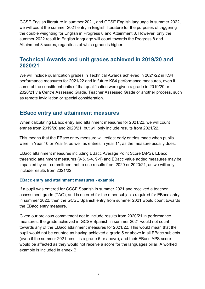GCSE English literature in summer 2021, and GCSE English language in summer 2022, we will count the summer 2021 entry in English literature for the purposes of triggering the double weighting for English in Progress 8 and Attainment 8. However, only the summer 2022 result in English language will count towards the Progress 8 and Attainment 8 scores, regardless of which grade is higher.

## <span id="page-6-0"></span>**Technical Awards and unit grades achieved in 2019/20 and 2020/21**

We will include qualification grades in Technical Awards achieved in 2021/22 in KS4 performance measures for 2021/22 and in future KS4 performance measures, even if some of the constituent units of that qualification were given a grade in 2019/20 or 2020/21 via Centre Assessed Grade, Teacher Assessed Grade or another process, such as remote invigilation or special consideration.

#### <span id="page-6-1"></span>**EBacc entry and attainment measures**

When calculating EBacc entry and attainment measures for 2021/22, we will count entries from 2019/20 and 2020/21, but will only include results from 2021/22.

This means that the EBacc entry measure will reflect early entries made when pupils were in Year 10 or Year 9, as well as entries in year 11, as the measure usually does.

EBacc attainment measures including EBacc Average Point Score (APS), EBacc threshold attainment measures (9-5, 9-4, 9-1) and EBacc value added measures may be impacted by our commitment not to use results from 2020 or 2020/21, as we will only include results from 2021/22.

#### **EBacc entry and attainment measures - example**

If a pupil was entered for GCSE Spanish in summer 2021 and received a teacher assessment grade (TAG), and is entered for the other subjects required for EBacc entry in summer 2022, then the GCSE Spanish entry from summer 2021 would count towards the EBacc entry measure.

Given our previous commitment not to include results from 2020/21 in performance measures, the grade achieved in GCSE Spanish in summer 2021 would not count towards any of the EBacc attainment measures for 2021/22. This would mean that the pupil would not be counted as having achieved a grade 5 or above in all EBacc subjects (even if the summer 2021 result is a grade 5 or above), and their EBacc APS score would be affected as they would not receive a score for the languages pillar. A worked example is included in annex B.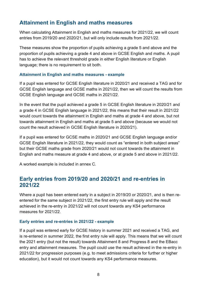## <span id="page-7-0"></span>**Attainment in English and maths measures**

When calculating Attainment in English and maths measures for 2021/22, we will count entries from 2019/20 and 2020/21, but will only include results from 2021/22.

These measures show the proportion of pupils achieving a grade 5 and above and the proportion of pupils achieving a grade 4 and above in GCSE English and maths. A pupil has to achieve the relevant threshold grade in either English literature or English language; there is no requirement to sit both.

#### **Attainment in English and maths measures - example**

If a pupil was entered for GCSE English literature in 2020/21 and received a TAG and for GCSE English language and GCSE maths in 2021/22, then we will count the results from GCSE English language and GCSE maths in 2021/22.

In the event that the pupil achieved a grade 5 in GCSE English literature in 2020/21 and a grade 4 in GCSE English language in 2021/22, this means that their result in 2021/22 would count towards the attainment in English and maths at grade 4 and above, but not towards attainment in English and maths at grade 5 and above (because we would not count the result achieved in GCSE English literature in 2020/21).

If a pupil was entered for GCSE maths in 2020/21 and GCSE English language and/or GCSE English literature in 2021/22, they would count as "entered in both subject areas" but their GCSE maths grade from 2020/21 would not count towards the attainment in English and maths measure at grade 4 and above, or at grade 5 and above in 2021/22.

A worked example is included in annex C.

## <span id="page-7-1"></span>**Early entries from 2019/20 and 2020/21 and re-entries in 2021/22**

Where a pupil has been entered early in a subject in 2019/20 or 2020/21, and is then reentered for the same subject in 2021/22, the first entry rule will apply and the result achieved in the re-entry in 2021/22 will not count towards any KS4 performance measures for 2021/22.

#### **Early entries and re-entries in 2021/22 - example**

If a pupil was entered early for GCSE history in summer 2021 and received a TAG, and is re-entered in summer 2022, the first entry rule will apply. This means that we will count the 2021 entry (but not the result) towards Attainment 8 and Progress 8 and the EBacc entry and attainment measures. The pupil could use the result achieved in the re-entry in 2021/22 for progression purposes (e.g. to meet admissions criteria for further or higher education), but it would not count towards any KS4 performance measures.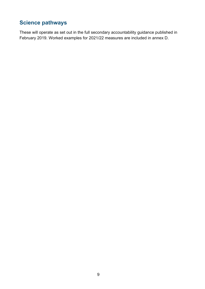## <span id="page-8-0"></span>**Science pathways**

These will operate as set out in the full secondary accountability guidance published in February 2019. Worked examples for 2021/22 measures are included in annex D.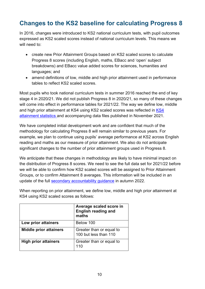# <span id="page-9-0"></span>**Changes to the KS2 baseline for calculating Progress 8**

In 2016, changes were introduced to KS2 national curriculum tests, with pupil outcomes expressed as KS2 scaled scores instead of national curriculum levels. This means we will need to:

- create new Prior Attainment Groups based on KS2 scaled scores to calculate Progress 8 scores (including English, maths, EBacc and 'open' subject breakdowns) and EBacc value added scores for sciences, humanities and languages; and
- amend definitions of low, middle and high prior attainment used in performance tables to reflect KS2 scaled scores.

Most pupils who took national curriculum tests in summer 2016 reached the end of key stage 4 in 2020/21. We did not publish Progress 8 in 2020/21, so many of these changes will come into effect in performance tables for 2021/22. The way we define low, middle and high prior attainment at [KS4](https://www.gov.uk/government/statistics/key-stage-4-performance-2021) using KS2 scaled scores was reflected in KS4 [attainment statistics](https://www.gov.uk/government/statistics/key-stage-4-performance-2021) and accompanying data files published in November 2021.

We have completed initial development work and are confident that much of the methodology for calculating Progress 8 will remain similar to previous years. For example, we plan to continue using pupils' average performance at KS2 across English reading and maths as our measure of prior attainment. We also do not anticipate significant changes to the number of prior attainment groups used in Progress 8.

We anticipate that these changes in methodology are likely to have minimal impact on the distribution of Progress 8 scores. We need to see the full data set for 2021/22 before we will be able to confirm how KS2 scaled scores will be assigned to Prior Attainment Groups, or to confirm Attainment 8 averages. This information will be included in an update of the full [secondary accountability guidance](https://assets.publishing.service.gov.uk/government/uploads/system/uploads/attachment_data/file/872997/Secondary_accountability_measures_guidance_February_2020_3.pdf) in autumn 2022.

When reporting on prior attainment, we define low, middle and high prior attainment at KS4 using KS2 scaled scores as follows:

|                               | Average scaled score in<br>English reading and<br>maths |
|-------------------------------|---------------------------------------------------------|
| Low prior attainers           | Below 100                                               |
| <b>Middle prior attainers</b> | Greater than or equal to<br>100 but less than 110       |
| <b>High prior attainers</b>   | Greater than or equal to<br>110                         |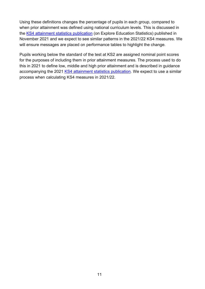Using these definitions changes the percentage of pupils in each group, compared to when prior attainment was defined using national curriculum levels. This is discussed in the [KS4 attainment statistics publication](https://explore-education-statistics.service.gov.uk/find-statistics/key-stage-4-performance-revised/2020-21) (on Explore Education Statistics) published in November 2021 and we expect to see similar patterns in the 2021/22 KS4 measures. We will ensure messages are placed on performance tables to highlight the change.

Pupils working below the standard of the test at KS2 are assigned nominal point scores for the purposes of including them in prior attainment measures. The process used to do this in 2021 to define low, middle and high prior attainment and is described in guidance accompanying the 2021 [KS4 attainment statistics publication.](https://explore-education-statistics.service.gov.uk/find-statistics/key-stage-4-performance-revised/2020-21) We expect to use a similar process when calculating KS4 measures in 2021/22.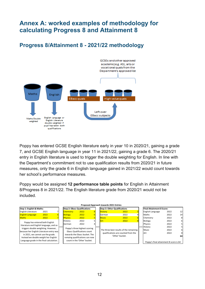# <span id="page-11-0"></span>**Annex A: worked examples of methodology for calculating Progress 8 and Attainment 8**

<span id="page-11-1"></span>**Progress 8/Attainment 8 - 2021/22 methodology**



Poppy has entered GCSE English literature early in year 10 in 2020/21, gaining a grade 7, and GCSE English language in year 11 in 2021/22, gaining a grade 6. The 2020/21 entry in English literature is used to trigger the double weighting for English. In line with the Department's commitment not to use qualification results from 2020/21 in future measures, only the grade 6 in English language gained in 2021/22 would count towards her school's performance measures.

Poppy would be assigned **12 performance table points** for English in Attainment 8/Progress 8 in 2021/22. The English literature grade from 2020/21 would not be included.

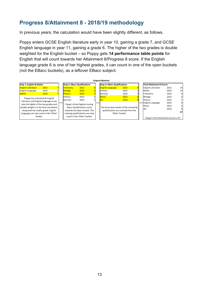## <span id="page-12-0"></span>**Progress 8/Attainment 8 - 2018/19 methodology**

In previous years, the calculation would have been slightly different, as follows.

Poppy enters GCSE English literature early in year 10, gaining a grade 7, and GCSE English language in year 11, gaining a grade 6. The higher of the two grades is double weighted for the English bucket – so Poppy gets **14 performance table points** for English that will count towards her Attainment 8/Progress 8 score. If the English language grade 6 is one of her highest grades, it can count in one of the open buckets (not the EBacc buckets), as a leftover EBacc subject.

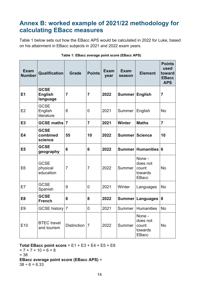# <span id="page-13-0"></span>**Annex B: worked example of 2021/22 methodology for calculating EBacc measures**

Table 1 below sets out how the EBacc APS would be calculated in 2022 for Luke, based on his attainment in EBacc subjects in 2021 and 2022 exam years.

| <b>Exam</b><br><b>Number</b> | Qualification                             | <b>Grade</b>       | <b>Points</b>  | <b>Exam</b><br>year | <b>Exam</b><br>season | <b>Element</b>                                         | <b>Points</b><br>used<br>toward<br><b>EBacc</b><br><b>APS</b> |
|------------------------------|-------------------------------------------|--------------------|----------------|---------------------|-----------------------|--------------------------------------------------------|---------------------------------------------------------------|
| E1                           | <b>GCSE</b><br><b>English</b><br>language | $\overline{7}$     | $\overline{7}$ | 2022                | <b>Summer</b>         | <b>English</b>                                         | $\overline{7}$                                                |
| E <sub>2</sub>               | <b>GCSE</b><br>English<br>literature      | 8                  | $\overline{0}$ | 2021                | Summer                | English                                                | <b>No</b>                                                     |
| E3                           | <b>GCSE maths</b>                         | $\overline{7}$     | $\overline{7}$ | 2021                | <b>Winter</b>         | <b>Maths</b>                                           | $\overline{7}$                                                |
| <b>E4</b>                    | <b>GCSE</b><br>combined<br>science        | 55                 | 10             | 2022                | Summer Science        |                                                        | 10                                                            |
| E <sub>5</sub>               | <b>GCSE</b><br>geography                  | $6\phantom{1}6$    | $6\phantom{1}$ | 2022                |                       | Summer Humanities                                      | $6\phantom{1}6$                                               |
| E <sub>6</sub>               | <b>GCSE</b><br>physical<br>education      | $\overline{7}$     | $\overline{7}$ | 2022                | Summer                | None -<br>does not<br>count<br>towards<br><b>EBacc</b> | <b>No</b>                                                     |
| E7                           | <b>GCSE</b><br>Spanish                    | 9                  | 0              | 2021                | Winter                | Languages                                              | <b>No</b>                                                     |
| E <sub>8</sub>               | <b>GCSE</b><br><b>French</b>              | 8                  | 8              | 2022                |                       | Summer   Languages                                     | 8                                                             |
| E <sub>9</sub>               | <b>GCSE history</b>                       | $\overline{7}$     | 0              | 2021                | Summer                | <b>Humanities</b>                                      | <b>No</b>                                                     |
| E <sub>10</sub>              | <b>BTEC</b> travel<br>and tourism         | <b>Distinction</b> | $\overline{7}$ | 2022                | Summer                | None -<br>does not<br>count<br>towards<br><b>EBacc</b> | <b>No</b>                                                     |

#### **Table 1: EBacc average point score (EBacc APS)**

#### **Total EBacc point score** = E1 + E3 + E4 + E5 + E8

 $= 7 + 7 + 10 + 6 + 8$ = 38 **EBacc average point score (EBacc APS)** =  $38 \div 6 = 6.33$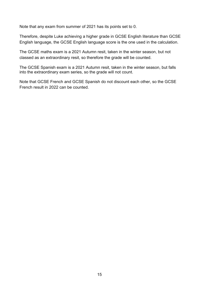Note that any exam from summer of 2021 has its points set to 0.

Therefore, despite Luke achieving a higher grade in GCSE English literature than GCSE English language, the GCSE English language score is the one used in the calculation.

The GCSE maths exam is a 2021 Autumn resit, taken in the winter season, but not classed as an extraordinary resit, so therefore the grade will be counted.

The GCSE Spanish exam is a 2021 Autumn resit, taken in the winter season, but falls into the extraordinary exam series, so the grade will not count.

Note that GCSE French and GCSE Spanish do not discount each other, so the GCSE French result in 2022 can be counted.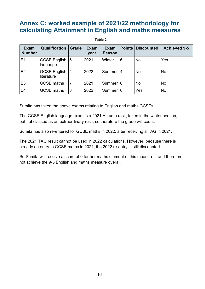# <span id="page-15-0"></span>**Annex C: worked example of 2021/22 methodology for calculating Attainment in English and maths measures**

#### **Table 2:**

| <b>Exam</b><br><b>Number</b> | <b>Qualification</b>           | <b>Grade</b> | <b>Exam</b><br>year | <b>Exam</b><br><b>Season</b> |   | <b>Points Discounted</b> | <b>Achieved 9-5</b> |
|------------------------------|--------------------------------|--------------|---------------------|------------------------------|---|--------------------------|---------------------|
| E1                           | GCSE English 6<br>language     |              | 2021                | Winter                       | 6 | <b>No</b>                | Yes                 |
| E2                           | GCSE English   4<br>literature |              | 2022                | Summer 14                    |   | <b>No</b>                | <b>No</b>           |
| E <sub>3</sub>               | <b>GCSE maths</b>              | 7            | 2021                | Summer 10                    |   | <b>No</b>                | <b>No</b>           |
| E <sub>4</sub>               | <b>GCSE maths</b>              | 8            | 2022                | Summer 10                    |   | Yes                      | <b>No</b>           |

Sumita has taken the above exams relating to English and maths GCSEs.

The GCSE English language exam is a 2021 Autumn resit, taken in the winter season, but not classed as an extraordinary resit, so therefore the grade will count.

Sumita has also re-entered for GCSE maths in 2022, after receiving a TAG in 2021.

The 2021 TAG result cannot be used in 2022 calculations. However, because there is already an entry to GCSE maths in 2021, the 2022 re-entry is still discounted.

So Sumita will receive a score of 0 for her maths element of this measure – and therefore not achieve the 9-5 English and maths measure overall.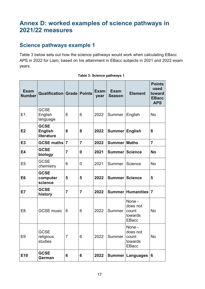# <span id="page-16-0"></span>**Annex D: worked examples of science pathways in 2021/22 measures**

## <span id="page-16-1"></span>**Science pathways example 1**

Table 3 below sets out how the science pathways would work when calculating EBacc APS in 2022 for Liam, based on his attainment in EBacc subjects in 2021 and 2022 exam years.

| <b>Exam</b><br><b>Number</b> | <b>Qualification Grade Points</b>           |                |                  | <b>Exam</b><br>year | <b>Exam</b><br><b>Season</b> | <b>Element</b>                                         | <b>Points</b><br>used<br>toward<br><b>EBacc</b><br><b>APS</b> |
|------------------------------|---------------------------------------------|----------------|------------------|---------------------|------------------------------|--------------------------------------------------------|---------------------------------------------------------------|
| E1                           | <b>GCSE</b><br>English<br>language          | 6              | 6                | 2022                | Summer                       | English                                                | <b>No</b>                                                     |
| E <sub>2</sub>               | <b>GCSE</b><br><b>English</b><br>literature | 8              | 8                | 2022                | Summer English               |                                                        | 8                                                             |
| E <sub>3</sub>               | <b>GCSE maths</b>                           | $\overline{7}$ | $\overline{7}$   | 2022                | <b>Summer Maths</b>          |                                                        | $\overline{7}$                                                |
| <b>E4</b>                    | <b>GCSE</b><br>biology                      | $\overline{7}$ | $\boldsymbol{0}$ | 2021                | Summer Science               |                                                        | <b>No</b>                                                     |
| E <sub>5</sub>               | <b>GCSE</b><br>chemistry                    | 6              | $\overline{0}$   | 2021                | Summer                       | Science                                                | <b>No</b>                                                     |
| E <sub>6</sub>               | <b>GCSE</b><br>computer<br>science          | 5              | 5                | 2022                | <b>Summer Science</b>        |                                                        | 5                                                             |
| E7                           | <b>GCSE</b><br>history                      | $\overline{7}$ | $\overline{7}$   | 2022                |                              | Summer Humanities                                      | $\overline{7}$                                                |
| E <sub>8</sub>               | <b>GCSE music</b>                           | 6              | 6                | 2022                | Summer                       | None -<br>does not<br>count<br>towards<br><b>EBacc</b> | <b>No</b>                                                     |
| E9                           | <b>GCSE</b><br>religious<br>studies         | $\overline{7}$ | 6                | 2022                | Summer                       | None -<br>does not<br>count<br>towards<br><b>EBacc</b> | No                                                            |
| E10                          | <b>GCSE</b><br>German                       | 6              | 6                | 2022                |                              | Summer   Languages   6                                 |                                                               |

#### **Table 3: Science pathways 1**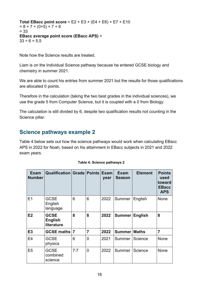**Total EBacc point score** = E2 + E3 + (E4 + E6) + E7 + E10  $= 8 + 7 + (0 + 5) + 7 + 6$ = 33 **EBacc average point score (EBacc APS)** =  $33 \div 6 = 5.5$ 

Note how the Science results are treated.

Liam is on the Individual Science pathway because he entered GCSE biology and chemistry in summer 2021.

We are able to count his entries from summer 2021 but the results for those qualifications are allocated 0 points.

Therefore in the calculation (taking the two best grades in the individual sciences), we use the grade 5 from Computer Science, but it is coupled with a 0 from Biology.

The calculation is still divided by 6, despite two qualification results not counting in the Science pillar.

## <span id="page-17-0"></span>**Science pathways example 2**

Table 4 below sets out how the science pathways would work when calculating EBacc APS in 2022 for Noah, based on his attainment in EBacc subjects in 2021 and 2022 exam years.

| Exam<br><b>Number</b> | <b>Qualification Grade</b>                  |     | <b>Points</b>  | <b>Exam</b><br>year | <b>Exam</b><br><b>Season</b> | <b>Element</b> | <b>Points</b><br>used<br>toward<br><b>EBacc</b><br><b>APS</b> |
|-----------------------|---------------------------------------------|-----|----------------|---------------------|------------------------------|----------------|---------------------------------------------------------------|
| E1                    | <b>GCSE</b><br>English<br>language          | 6   | 6              | 2022                | Summer                       | English        | None                                                          |
| E2                    | <b>GCSE</b><br><b>English</b><br>literature | 8   | 8              | 2022                | Summer                       | <b>English</b> | 8                                                             |
| E <sub>3</sub>        | GCSE maths 7                                |     | 7              | 2022                | Summer Maths                 |                | $\overline{7}$                                                |
| E <sub>4</sub>        | <b>GCSE</b><br>physics                      | 6   | 0              | 2021                | Summer                       | Science        | None                                                          |
| E <sub>5</sub>        | <b>GCSE</b><br>combined<br>science          | 7:7 | $\overline{0}$ | 2022                | Summer                       | Science        | <b>None</b>                                                   |

|  |  |  | Table 4: Science pathways 2 |  |
|--|--|--|-----------------------------|--|
|--|--|--|-----------------------------|--|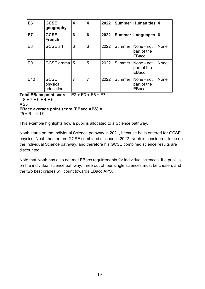| E <sub>6</sub>  | <b>GCSE</b><br>geography             | 4 | 4              | 2022 |        | Summer Humanities 4                       |             |
|-----------------|--------------------------------------|---|----------------|------|--------|-------------------------------------------|-------------|
| E7              | <b>GCSE</b><br><b>French</b>         | 6 | 6              | 2022 |        | Summer   Languages                        | 16          |
| E <sub>8</sub>  | <b>GCSE</b> art                      | 6 | 6              | 2022 | Summer | None - not<br>part of the<br>EBacc        | <b>None</b> |
| E <sub>9</sub>  | GCSE drama 5                         |   | 5              | 2022 | Summer | None - not<br>part of the<br>EBacc        | None        |
| E <sub>10</sub> | <b>GCSE</b><br>physical<br>education | 7 | $\overline{7}$ | 2022 | Summer | None - not<br>part of the<br><b>EBacc</b> | <b>None</b> |

**Total EBacc point score** = E2 + E3 + E6 + E7

 $= 8 + 7 + 0 + 4 + 6$  $= 25$ **EBacc average point score (EBacc APS)** =

 $25 \div 6 = 4.17$ 

This example highlights how a pupil is allocated to a Science pathway.

Noah starts on the Individual Science pathway in 2021, because he is entered for GCSE physics. Noah then enters GCSE combined science in 2022. Noah is considered to be on the Individual Science pathway, and therefore his GCSE combined science results are discounted.

Note that Noah has also not met EBacc requirements for individual sciences. If a pupil is on the individual science pathway, three out of four single sciences must be chosen, and the two best grades will count towards EBacc APS.